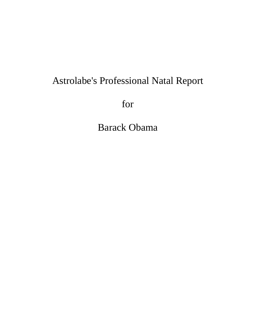# Astrolabe's Professional Natal Report

for

Barack Obama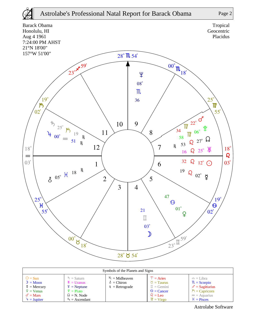



| Symbols of the Planets and Signs                                                                                                       |                                                                                                                                          |                                                            |                                                                                                                                              |                                                                                                                                |  |  |  |  |
|----------------------------------------------------------------------------------------------------------------------------------------|------------------------------------------------------------------------------------------------------------------------------------------|------------------------------------------------------------|----------------------------------------------------------------------------------------------------------------------------------------------|--------------------------------------------------------------------------------------------------------------------------------|--|--|--|--|
| $\odot$ = Sun<br>$\mathcal{D} = \mathbf{Moon}$<br>$\frac{8}{4}$ = Mercury<br>$\mathcal{Q}$ = Venus<br>$\sigma$ = Mars<br>$4 =$ Jupiter | $\bar{D}$ = Saturn<br>$\mathcal{H}$ = Uranus<br>$\frac{4}{2}$ = Neptune<br>$\hat{P} =$ Pluto<br>$\Omega = N$ . Node<br>$A_S =$ Ascendant | $M_c = Midheaven$<br>$\delta$ = Chiron<br>$R =$ Retrograde | $T = \text{Aries}$<br>$\delta$ = Taurus<br>$\mathbb{I} =$ Gemini<br>$\odot$ = Cancer<br>$\Omega = \text{Leo}$<br>$\mathbb{U} = \text{Virgo}$ | $=$ $=$ Libra<br>$\mathbb{R}$ = Scorpio<br>$\chi$ = Sagittarius<br>$\beta$ = Capricorn<br>$\infty$ = Aquarius<br>$H = P$ isces |  |  |  |  |

Astrolabe Software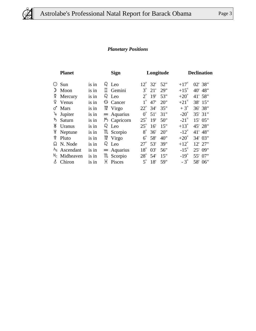

### *Planetary Positions*

| <b>Planet</b> |                 |       | <b>Sign</b> |                    |              | Longitude       |     |               | <b>Declination</b> |  |  |
|---------------|-----------------|-------|-------------|--------------------|--------------|-----------------|-----|---------------|--------------------|--|--|
| ⊙             | Sun             | is in |             | $\Omega$ Leo       | $12^{\circ}$ | 32 <sup>'</sup> | 52" | $+17^\circ$   | 02' 38"            |  |  |
| ᠉             | Moon            | is in |             | $\mathbb I$ Gemini | $3^\circ$    | 21'             | 29" | $+15^\circ$   | 40' 48"            |  |  |
| ¥.            | Mercury         | is in |             | $\Omega$ Leo       | $2^{\circ}$  | 19'             | 53" | $+20^\circ$   | 41' 58"            |  |  |
| ¥             | Venus           | is in |             | <b>6</b> Cancer    | $1^{\circ}$  | 47'             | 20" | $+21^{\circ}$ | 38' 15"            |  |  |
| ර             | Mars            | is in |             | $\mathbb{M}$ Virgo | $22^{\circ}$ | 34'             | 35" | $+3^\circ$    | 36' 38"            |  |  |
| 4             | Jupiter         | is in |             | $\approx$ Aquarius | $0^{\circ}$  | 51'             | 31" | $-20^\circ$   | 35' 31"            |  |  |
| ゎ             | Saturn          | is in |             | $\beta$ Capricorn  | $25^{\circ}$ | 19'             | 50" | $-21^\circ$   | 15' 05"            |  |  |
| Ж             | Uranus          | is in |             | $\Omega$ Leo       | $25^{\circ}$ | 16'             | 15" | $+13^\circ$   | 45' 28"            |  |  |
| Ψ             | Neptune         | is in |             | <b>III</b> Scorpio | $8^\circ$    | 36'             | 20" | $-12^{\circ}$ | 41' 48"            |  |  |
| ೪             | Pluto           | is in |             | $\mathbb{M}$ Virgo | $6^{\circ}$  | 58'             | 40" | $+20^\circ$   | 34' 03"            |  |  |
| ᠺ             | N. Node         | is in |             | $\Omega$ Leo       | $27^\circ$   | 53'             | 39" | $+12^{\circ}$ | 12' 27"            |  |  |
|               | $AS$ Ascendant  | is in |             | $\approx$ Aquarius | $18^\circ$   | 03'             | 56" | $-15^\circ$   | 25' 09"            |  |  |
|               | $M_C$ Midheaven | is in |             | m Scorpio          | $28^\circ$   | 54'             | 15" | $-19^\circ$   | 55' 07"            |  |  |
| δ             | Chiron          | is in |             | H Pisces           | $5^\circ$    | 18'             | 59" | $-3^\circ$    | 58' 06"            |  |  |
|               |                 |       |             |                    |              |                 |     |               |                    |  |  |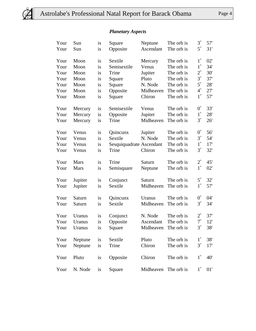

### *Planetary Aspects*

| Your | Sun         | is | Square                   | Neptune   | The orb is | $3^\circ$   | 57' |
|------|-------------|----|--------------------------|-----------|------------|-------------|-----|
| Your | Sun         | is | Opposite                 | Ascendant | The orb is | $5^\circ$   | 31' |
| Your | Moon        | is | Sextile                  | Mercury   | The orb is | $1^{\circ}$ | 02' |
| Your | Moon        | is | Semisextile              | Venus     | The orb is | $1^{\circ}$ | 34' |
| Your | Moon        | is | Trine                    | Jupiter   | The orb is | $2^{\circ}$ | 30' |
| Your | Moon        | is | Square                   | Pluto     | The orb is | $3^\circ$   | 37' |
| Your | Moon        | is | Square                   | N. Node   | The orb is | $5^{\circ}$ | 28' |
| Your | Moon        | is | Opposite                 | Midheaven | The orb is | $4^\circ$   | 27' |
| Your | Moon        | is | Square                   | Chiron    | The orb is | $1^{\circ}$ | 57' |
| Your | Mercury     | is | Semisextile              | Venus     | The orb is | $0^{\circ}$ | 33' |
| Your | Mercury     | is | Opposite                 | Jupiter   | The orb is | $1^{\circ}$ | 28' |
| Your | Mercury     | is | Trine                    | Midheaven | The orb is | $3^\circ$   | 26' |
| Your | Venus       | is | Quincunx                 | Jupiter   | The orb is | $0^{\circ}$ | 56' |
| Your | Venus       | is | Sextile                  | N. Node   | The orb is | $3^\circ$   | 54' |
| Your | Venus       | is | Sesquiquadrate Ascendant |           | The orb is | $1^{\circ}$ | 17' |
| Your | Venus       | is | Trine                    | Chiron    | The orb is | $3^\circ$   | 32' |
| Your | <b>Mars</b> | is | Trine                    | Saturn    | The orb is | $2^{\circ}$ | 45' |
| Your | <b>Mars</b> | is | Semisquare               | Neptune   | The orb is | $1^{\circ}$ | 02' |
| Your | Jupiter     | is | Conjunct                 | Saturn    | The orb is | $5^\circ$   | 32' |
| Your | Jupiter     | is | Sextile                  | Midheaven | The orb is | $1^{\circ}$ | 57' |
| Your | Saturn      | is | Quincunx                 | Uranus    | The orb is | $0^{\circ}$ | 04' |
| Your | Saturn      | is | Sextile                  | Midheaven | The orb is | $3^\circ$   | 34' |
| Your | Uranus      | is | Conjunct                 | N. Node   | The orb is | $2^{\circ}$ | 37' |
| Your | Uranus      | is | Opposite                 | Ascendant | The orb is | $7^\circ$   | 12' |
| Your | Uranus      | is | Square                   | Midheaven | The orb is | $3^\circ$   | 38' |
| Your | Neptune     | is | Sextile                  | Pluto     | The orb is | $1^{\circ}$ | 38' |
| Your | Neptune     | is | Trine                    | Chiron    | The orb is | $3^\circ$   | 17' |
| Your | Pluto       | is | Opposite                 | Chiron    | The orb is | $1^{\circ}$ | 40' |
| Your | N. Node     | is | Square                   | Midheaven | The orb is | $1^{\circ}$ | 01' |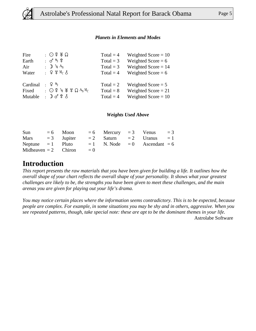

#### *Planets in Elements and Modes*

| Fire     | $\Omega$ : 〇 2 Ж $\Omega$                                                                                                                   | Total = $4$ | Weighted Score = $10$ |
|----------|---------------------------------------------------------------------------------------------------------------------------------------------|-------------|-----------------------|
| Earth    | : ♂ち♀                                                                                                                                       | Total = $3$ | Weighted Score = $6$  |
| Air      | : $\mathbb{D}$ 4 A <sub>S</sub>                                                                                                             | Total = $3$ | Weighted Score $= 14$ |
| Water    | $\frac{1}{2}$ $\frac{1}{2}$ $\frac{1}{2}$ $\frac{1}{2}$ $\frac{1}{2}$ $\frac{1}{2}$ $\frac{1}{2}$ $\frac{1}{2}$ $\frac{1}{2}$ $\frac{1}{2}$ | Total = $4$ | Weighted Score = $6$  |
| Cardinal | ・♀ゎ                                                                                                                                         | Total = $2$ | Weighted Score $= 5$  |
| Fixed    | : $\bigcirc$ ¤ + $\mathcal{H}$ $\mathcal{H}$ $\Omega$ $A_S$ $M_C$                                                                           | $Total = 8$ | Weighted Score $= 21$ |
| Mutable  | $: \mathbb{D} \mathcal{J} \mathfrak{L} \mathcal{S}$                                                                                         | Total = $4$ | Weighted Score = $10$ |

#### *Weights Used Above*

| Sun                    | $= 6$ Moon |       | $= 6$ Mercury $= 3$ Venus           |  | $=$ 3 |
|------------------------|------------|-------|-------------------------------------|--|-------|
| Mars $=3$ Jupiter      |            |       | $= 2$ Saturn $= 2$ Uranus $= 1$     |  |       |
| Neptune $= 1$ Pluto    |            |       | $= 1$ N. Node $= 0$ Ascendant $= 6$ |  |       |
| Midheaven $= 2$ Chiron |            | $= 0$ |                                     |  |       |

### **Introduction**

*This report presents the raw materials that you have been given for building a life. It outlines how the overall shape of your chart reflects the overall shape of your personality. It shows what your greatest challenges are likely to be, the strengths you have been given to meet these challenges, and the main arenas you are given for playing out your life's drama.* 

*You may notice certain places where the information seems contradictory. This is to be expected, because people are complex. For example, in some situations you may be shy and in others, aggressive. When you see repeated patterns, though, take special note: these are apt to be the dominant themes in your life.* Astrolabe Software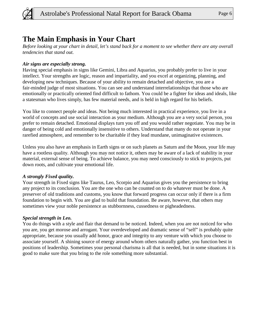

### **The Main Emphasis in Your Chart**

*Before looking at your chart in detail, let's stand back for a moment to see whether there are any overall tendencies that stand out.*

### *Air signs are especially strong.*

Having special emphasis in signs like Gemini, Libra and Aquarius, you probably prefer to live in your intellect. Your strengths are logic, reason and impartiality, and you excel at organizing, planning, and developing new techniques. Because of your ability to remain detached and objective, you are a fair-minded judge of most situations. You can see and understand interrelationships that those who are emotionally or practically oriented find difficult to fathom. You could be a fighter for ideas and ideals, like a statesman who lives simply, has few material needs, and is held in high regard for his beliefs.

You like to connect people and ideas. Not being much interested in practical experience, you live in a world of concepts and use social interaction as your medium. Although you are a very social person, you prefer to remain detached. Emotional displays turn you off and you would rather negotiate. You may be in danger of being cold and emotionally insensitive to others. Understand that many do not operate in your rarefied atmosphere, and remember to be charitable if they lead mundane, unimaginative existences.

Unless you also have an emphasis in Earth signs or on such planets as Saturn and the Moon, your life may have a rootless quality. Although you may not notice it, others may be aware of a lack of stability in your material, external sense of being. To achieve balance, you may need consciously to stick to projects, put down roots, and cultivate your emotional life.

### *A strongly Fixed quality.*

Your strength in Fixed signs like Taurus, Leo, Scorpio and Aquarius gives you the persistence to bring any project to its conclusion. You are the one who can be counted on to do whatever must be done. A preserver of old traditions and customs, you know that forward progress can occur only if there is a firm foundation to begin with. You are glad to build that foundation. Be aware, however, that others may sometimes view your noble persistence as stubbornness, cussedness or pigheadedness.

### *Special strength in Leo.*

You do things with a style and flair that demand to be noticed. Indeed, when you are not noticed for who you are, you get morose and arrogant. Your overdeveloped and dramatic sense of "self" is probably quite appropriate, because you usually add honor, grace and integrity to any venture with which you choose to associate yourself. A shining source of energy around whom others naturally gather, you function best in positions of leadership. Sometimes your personal charisma is all that is needed, but in some situations it is good to make sure that you bring to the role something more substantial.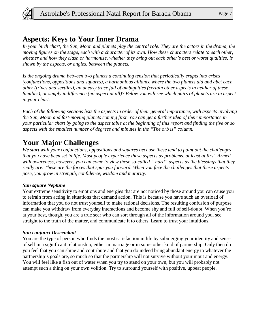

### **Aspects: Keys to Your Inner Drama**

*In your birth chart, the Sun, Moon and planets play the central role. They are the actors in the drama, the moving figures on the stage, each with a character of its own. How these characters relate to each other, whether and how they clash or harmonize, whether they bring out each other's best or worst qualities, is shown by the aspects, or angles, between the planets.* 

*Is the ongoing drama between two planets a continuing tension that periodically erupts into crises (conjunctions, oppositions and squares), a harmonious alliance where the two planets aid and abet each other (trines and sextiles), an uneasy truce full of ambiguities (certain other aspects in neither of these families), or simply indifference (no aspect at all)? Below you will see which pairs of planets are in aspect in your chart.* 

*Each of the following sections lists the aspects in order of their general importance, with aspects involving the Sun, Moon and fast-moving planets coming first. You can get a further idea of their importance in your particular chart by going to the aspect table at the beginning of this report and finding the five or so aspects with the smallest number of degrees and minutes in the "The orb is" column.*

# **Your Major Challenges**

*We start with your conjunctions, oppositions and squares because these tend to point out the challenges that you have been set in life. Most people experience these aspects as problems, at least at first. Armed with awareness, however, you can come to view these so-called " hard" aspects as the blessings that they really are. These are the forces that spur you forward. When you face the challenges that these aspects pose, you grow in strength, confidence, wisdom and maturity.*

### *Sun square Neptune*

Your extreme sensitivity to emotions and energies that are not noticed by those around you can cause you to refrain from acting in situations that demand action. This is because you have such an overload of information that you do not trust yourself to make rational decisions. The resulting confusion of purpose can make you withdraw from everyday interactions and become shy and full of self-doubt. When you're at your best, though, you are a true seer who can sort through all of the information around you, see straight to the truth of the matter, and communicate it to others. Learn to trust your intuitions.

### *Sun conjunct Descendant*

You are the type of person who finds the most satisfaction in life by submerging your identity and sense of self in a significant relationship, either in marriage or in some other kind of partnership. Only then do you feel that you can shine and contribute and that you do indeed bring abundant energy to whatever the partnership's goals are, so much so that the partnership will not survive without your input and energy. You will feel like a fish out of water when you try to stand on your own, but you will probably not attempt such a thing on your own volition. Try to surround yourself with positive, upbeat people.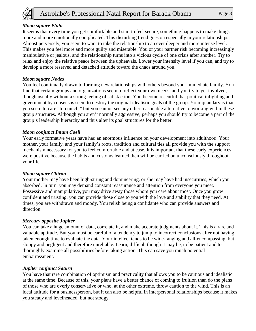

#### *Moon square Pluto*

It seems that every time you get comfortable and start to feel secure, something happens to make things more and more emotionally complicated. This disturbing trend goes on especially in your relationships. Almost perversely, you seem to want to take the relationship to an ever deeper and more intense level. This makes you feel more and more guilty and miserable. You or your partner risk becoming increasingly manipulative or jealous, and the relationship turns into a vicious cycle of one crisis after another. Try to relax and enjoy the relative peace between the upheavals. Lower your intensity level if you can, and try to develop a more reserved and detached attitude toward the chaos around you.

### *Moon square Nodes*

You feel continually drawn to forming new relationships with others beyond your immediate family. You find that certain groups and organizations seem to reflect your own needs, and you try to get involved, though usually without a strong feeling of satisfaction. You become resentful that political infighting and government by consensus seem to destroy the original idealistic goals of the group. Your quandary is that you seem to care "too much," but you cannot see any other reasonable alternative to working within these group structures. Although you aren't normally aggressive, perhaps you should try to become a part of the group's leadership hierarchy and thus alter its goal structures for the better.

### *Moon conjunct Imum Coeli*

Your early formative years have had an enormous influence on your development into adulthood. Your mother, your family, and your family's roots, tradition and cultural ties all provide you with the support mechanism necessary for you to feel comfortable and at ease. It is important that these early experiences were positive because the habits and customs learned then will be carried on unconsciously throughout your life.

#### *Moon square Chiron*

Your mother may have been high-strung and domineering, or she may have had insecurities, which you absorbed. In turn, you may demand constant reassurance and attention from everyone you meet. Possessive and manipulative, you may drive away those whom you care about most. Once you grow confident and trusting, you can provide those close to you with the love and stability that they need. At times, you are withdrawn and moody. You relish being a confidante who can provide answers and direction.

#### *Mercury opposite Jupiter*

You can take a huge amount of data, correlate it, and make accurate judgments about it. This is a rare and valuable aptitude. But you must be careful of a tendency to jump to incorrect conclusions after not having taken enough time to evaluate the data. Your intellect tends to be wide-ranging and all-encompassing, but sloppy and negligent and therefore unreliable. Learn, difficult though it may be, to be patient and to thoroughly examine all possibilities before taking action. This can save you much potential embarrassment.

### *Jupiter conjunct Saturn*

You have that rare combination of optimism and practicality that allows you to be cautious and idealistic at the same time. Because of this, your plans have a better chance of coming to fruition than do the plans of those who are overly conservative or who, at the other extreme, throw caution to the wind. This is an ideal attitude for a businessperson, but it can also be helpful in interpersonal relationships because it makes you steady and levelheaded, but not stodgy.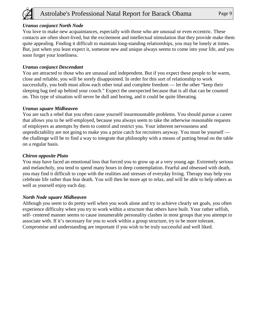

You love to make new acquaintances, especially with those who are unusual or even eccentric. These contacts are often short-lived, but the excitement and intellectual stimulation that they provide make them quite appealing. Finding it difficult to maintain long-standing relationships, you may be lonely at times. But, just when you least expect it, someone new and unique always seems to come into your life, and you soon forget your loneliness.

### *Uranus conjunct Descendant*

You are attracted to those who are unusual and independent. But if you expect these people to be warm, close and reliable, you will be sorely disappointed. In order for this sort of relationship to work successfully, you both must allow each other total and complete freedom — let the other "keep their sleeping bag tied up behind your couch." Expect the unexpected because that is all that can be counted on. This type of situation will never be dull and boring, and it could be quite liberating.

### *Uranus square Midheaven*

You are such a rebel that you often cause yourself insurmountable problems. You should pursue a career that allows you to be self-employed, because you always seem to take the otherwise reasonable requests of employers as attempts by them to control and restrict you. Your inherent nervousness and unpredictability are not going to make you a prize catch for recruiters anyway. You must be yourself the challenge will be to find a way to integrate that philosophy with a means of putting bread on the table on a regular basis.

### *Chiron opposite Pluto*

You may have faced an emotional loss that forced you to grow up at a very young age. Extremely serious and melancholy, you tend to spend many hours in deep contemplation. Fearful and obsessed with death, you may find it difficult to cope with the realities and stresses of everyday living. Therapy may help you celebrate life rather than fear death. You will then be more apt to relax, and will be able to help others as well as yourself enjoy each day.

#### *North Node square Midheaven*

Although you seem to do pretty well when you work alone and try to achieve clearly set goals, you often experience difficulty when you try to work within a structure that others have built. Your rather selfish, self- centered manner seems to cause innumerable personality clashes in most groups that you attempt to associate with. If it's necessary for you to work within a group structure, try to be more tolerant. Compromise and understanding are important if you wish to be truly successful and well liked.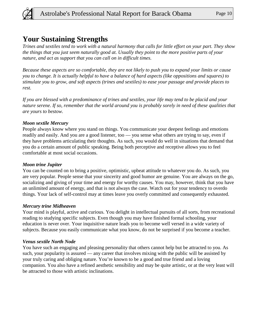

### **Your Sustaining Strengths**

*Trines and sextiles tend to work with a natural harmony that calls for little effort on your part. They show the things that you just seem naturally good at. Usually they point to the more positive parts of your nature, and act as support that you can call on in difficult times.* 

*Because these aspects are so comfortable, they are not likely to push you to expand your limits or cause you to change. It is actually helpful to have a balance of hard aspects (like oppositions and squares) to stimulate you to grow, and soft aspects (trines and sextiles) to ease your passage and provide places to rest.* 

*If you are blessed with a predominance of trines and sextiles, your life may tend to be placid and your nature serene. If so, remember that the world around you is probably sorely in need of these qualities that are yours to bestow.*

### *Moon sextile Mercury*

People always know where you stand on things. You communicate your deepest feelings and emotions readily and easily. And you are a good listener, too — you sense what others are trying to say, even if they have problems articulating their thoughts. As such, you would do well in situations that demand that you do a certain amount of public speaking. Being both perceptive and receptive allows you to feel comfortable at most social occasions.

### *Moon trine Jupiter*

You can be counted on to bring a positive, optimistic, upbeat attitude to whatever you do. As such, you are very popular. People sense that your sincerity and good humor are genuine. You are always on the go, socializing and giving of your time and energy for worthy causes. You may, however, think that you have an unlimited amount of energy, and that is not always the case. Watch out for your tendency to overdo things. Your lack of self-control may at times leave you overly committed and consequently exhausted.

### *Mercury trine Midheaven*

Your mind is playful, active and curious. You delight in intellectual pursuits of all sorts, from recreational reading to studying specific subjects. Even though you may have finished formal schooling, your education is never over. Your inquisitive nature leads you to become well versed in a wide variety of subjects. Because you easily communicate what you know, do not be surprised if you become a teacher.

### *Venus sextile North Node*

You have such an engaging and pleasing personality that others cannot help but be attracted to you. As such, your popularity is assured — any career that involves mixing with the public will be assisted by your truly caring and obliging nature. You're known to be a good and true friend and a loving companion. You also have a refined aesthetic sensibility and may be quite artistic, or at the very least will be attracted to those with artistic inclinations.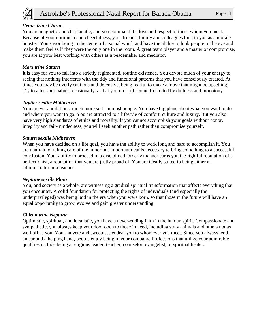

### *Venus trine Chiron*

You are magnetic and charismatic, and you command the love and respect of those whom you meet. Because of your optimism and cheerfulness, your friends, family and colleagues look to you as a morale booster. You savor being in the center of a social whirl, and have the ability to look people in the eye and make them feel as if they were the only one in the room. A great team player and a master of compromise, you are at your best working with others as a peacemaker and mediator.

### *Mars trine Saturn*

It is easy for you to fall into a strictly regimented, routine existence. You devote much of your energy to seeing that nothing interferes with the tidy and functional patterns that you have consciously created. At times you may be overly cautious and defensive, being fearful to make a move that might be upsetting. Try to alter your habits occasionally so that you do not become frustrated by dullness and monotony.

### *Jupiter sextile Midheaven*

You are very ambitious, much more so than most people. You have big plans about what you want to do and where you want to go. You are attracted to a lifestyle of comfort, culture and luxury. But you also have very high standards of ethics and morality. If you cannot accomplish your goals without honor, integrity and fair-mindedness, you will seek another path rather than compromise yourself.

#### *Saturn sextile Midheaven*

When you have decided on a life goal, you have the ability to work long and hard to accomplish it. You are unafraid of taking care of the minor but important details necessary to bring something to a successful conclusion. Your ability to proceed in a disciplined, orderly manner earns you the rightful reputation of a perfectionist, a reputation that you are justly proud of. You are ideally suited to being either an administrator or a teacher.

#### *Neptune sextile Pluto*

You, and society as a whole, are witnessing a gradual spiritual transformation that affects everything that you encounter. A solid foundation for protecting the rights of individuals (and especially the underprivileged) was being laid in the era when you were born, so that those in the future will have an equal opportunity to grow, evolve and gain greater understanding.

#### *Chiron trine Neptune*

Optimistic, spiritual, and idealistic, you have a never-ending faith in the human spirit. Compassionate and sympathetic, you always keep your door open to those in need, including stray animals and others not as well off as you. Your naivete and sweetness endear you to whomever you meet. Since you always lend an ear and a helping hand, people enjoy being in your company. Professions that utilize your admirable qualities include being a religious leader, teacher, counselor, evangelist, or spiritual healer.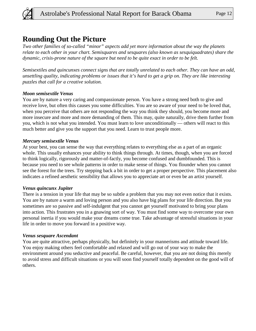

### **Rounding Out the Picture**

*Two other families of so-called "minor" aspects add yet more information about the way the planets relate to each other in your chart. Semisquares and sesquares (also known as sesquiquadrates) share the dynamic, crisis-prone nature of the square but need to be quite exact in order to be felt.* 

*Semisextiles and quincunxes connect signs that are totally unrelated to each other. They can have an odd, unsettling quality, indicating problems or issues that it's hard to get a grip on. They are like interesting puzzles that call for a creative solution.*

### *Moon semisextile Venus*

You are by nature a very caring and compassionate person. You have a strong need both to give and receive love, but often this causes you some difficulties. You are so aware of your need to be loved that, when you perceive that others are not responding the way you think they should, you become more and more insecure and more and more demanding of them. This may, quite naturally, drive them further from you, which is not what you intended. You must learn to love unconditionally — others will react to this much better and give you the support that you need. Learn to trust people more.

### *Mercury semisextile Venus*

At your best, you can sense the way that everything relates to everything else as a part of an organic whole. This usually enhances your ability to think things through. At times, though, when you are forced to think logically, rigorously and matter-of-factly, you become confused and dumbfounded. This is because you need to see whole patterns in order to make sense of things. You flounder when you cannot see the forest for the trees. Try stepping back a bit in order to get a proper perspective. This placement also indicates a refined aesthetic sensibility that allows you to appreciate art or even be an artist yourself.

### *Venus quincunx Jupiter*

There is a tension in your life that may be so subtle a problem that you may not even notice that it exists. You are by nature a warm and loving person and you also have big plans for your life direction. But you sometimes are so passive and self-indulgent that you cannot get yourself motivated to bring your plans into action. This frustrates you in a gnawing sort of way. You must find some way to overcome your own personal inertia if you would make your dreams come true. Take advantage of stressful situations in your life in order to move you forward in a positive way.

### *Venus sesquare Ascendant*

You are quite attractive, perhaps physically, but definitely in your mannerisms and attitude toward life. You enjoy making others feel comfortable and relaxed and will go out of your way to make the environment around you seductive and peaceful. Be careful, however, that you are not doing this merely to avoid stress and difficult situations or you will soon find yourself totally dependent on the good will of others.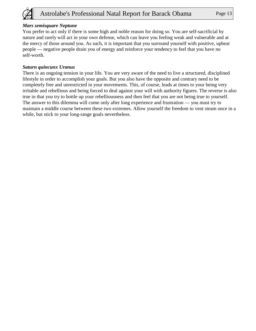

### *Mars semisquare Neptune*

You prefer to act only if there is some high and noble reason for doing so. You are self-sacrificial by nature and rarely will act in your own defense, which can leave you feeling weak and vulnerable and at the mercy of those around you. As such, it is important that you surround yourself with positive, upbeat people — negative people drain you of energy and reinforce your tendency to feel that you have no self-worth.

### *Saturn quincunx Uranus*

There is an ongoing tension in your life. You are very aware of the need to live a structured, disciplined lifestyle in order to accomplish your goals. But you also have the opposite and contrary need to be completely free and unrestricted in your movements. This, of course, leads at times to your being very irritable and rebellious and being forced to deal against your will with authority figures. The reverse is also true in that you try to bottle up your rebelliousness and then feel that you are not being true to yourself. The answer to this dilemma will come only after long experience and frustration — you must try to maintain a middle course between these two extremes. Allow yourself the freedom to vent steam once in a while, but stick to your long-range goals nevertheless.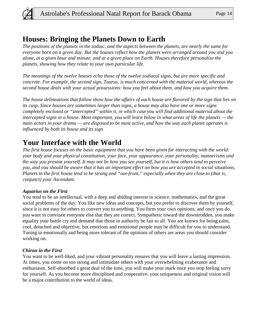

### **Houses: Bringing the Planets Down to Earth**

*The positions of the planets in the zodiac, and the aspects between the planets, are nearly the same for everyone born on a given day. But the houses reflect how the planets were arranged around you and you alone, at a given hour and minute, and at a given place on Earth. Houses therefore personalize the planets, showing how they relate to your own particular life.* 

*The meanings of the twelve houses echo those of the twelve zodiacal signs, but are more specific and concrete. For example, the second sign, Taurus, is much concerned with the material world, whereas the second house deals with your actual possessions: how you feel about them, and how you acquire them.* 

*The house delineations that follow show how the affairs of each house are flavored by the sign that lies on its cusp. Since houses are sometimes larger than signs, a house may also have one or more signs completely enclosed or "intercepted" within it, in which case you will find additional material about the intercepted signs in a house. Most important, you will learn below in what areas of life the planets — the main actors in your drama — are disposed to be most active, and how the way each planet operates is influenced by both its house and its sign.*

# **Your Interface with the World**

*The first house focuses on the basic equipment that you have been given for interacting with the world: your body and your physical constitution, your face, your appearance, your personality, mannerisms and the way you present yourself. It may not be how you see yourself, but it is how others tend to perceive you, and you should be aware that it has an important effect on how you are accepted in social situations. Planets in the first house tend to be strong and "out-front," especially when they are close to (that is, conjunct) your Ascendant.*

### *Aquarius on the First*

You tend to be an intellectual, with a deep and abiding interest in science, mathematics, and the great social problems of the day. You like new ideas and concepts, but you prefer to discover them by yourself, since it is not easy for others to convert you to anything. You form your own opinions, and once you do, you want to convince everyone else that they are correct. Sympathetic toward the downtrodden, you make equality your battle cry and demand that those in authority be fair to all. You are known for being calm, cool, detached and objective, but emotions and emotional people may be difficult for you to understand. Tuning in emotionally and being more tolerant of the opinions of others are areas you should consider working on.

### *Chiron in the First*

You want to be well-liked, and your vibrant personality ensures that you will leave a lasting impression. At times, you come on too strong and intimidate others with your overwhelming exuberance and enthusiasm. Self-absorbed a great deal of the time, you will make your mark once you stop feeling sorry for yourself. As you become more disciplined and cooperative, your uniqueness and original vision will be a major contribution to the world of ideas.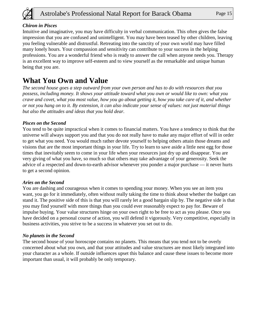

### *Chiron in Pisces*

Intuitive and imaginative, you may have difficulty in verbal communication. This often gives the false impression that you are confused and unintelligent. You may have been teased by other children, leaving you feeling vulnerable and distrustful. Retreating into the sanctity of your own world may have filled many lonely hours. Your compassion and sensitivity can contribute to your success in the helping professions. You are a wonderful friend who is ready to answer the call when anyone needs you. Therapy is an excellent way to improve self-esteem and to view yourself as the remarkable and unique human being that you are.

# **What You Own and Value**

*The second house goes a step outward from your own person and has to do with resources that you possess, including money. It shows your attitude toward what you own or would like to own: what you crave and covet, what you most value, how you go about getting it, how you take care of it, and whether or not you hang on to it. By extension, it can also indicate your sense of values: not just material things but also the attitudes and ideas that you hold dear.*

### *Pisces on the Second*

You tend to be quite impractical when it comes to financial matters. You have a tendency to think that the universe will always support you and that you do not really have to make any major effort of will in order to get what you need. You would much rather devote yourself to helping others attain those dreams and visions that are the most important things in your life. Try to learn to save aside a little nest egg for those times that inevitably seem to come in your life when your resources just dry up and disappear. You are very giving of what you have, so much so that others may take advantage of your generosity. Seek the advice of a respected and down-to-earth advisor whenever you ponder a major purchase — it never hurts to get a second opinion.

### *Aries on the Second*

You are dashing and courageous when it comes to spending your money. When you see an item you want, you go for it immediately, often without really taking the time to think about whether the budget can stand it. The positive side of this is that you will rarely let a good bargain slip by. The negative side is that you may find yourself with more things than you could ever reasonably expect to pay for. Beware of impulse buying. Your value structures hinge on your own right to be free to act as you please. Once you have decided on a personal course of action, you will defend it vigorously. Very competitive, especially in business activities, you strive to be a success in whatever you set out to do.

### *No planets in the Second*

The second house of your horoscope contains no planets. This means that you tend not to be overly concerned about what you own, and that your attitudes and value structures are most likely integrated into your character as a whole. If outside influences upset this balance and cause these issues to become more important than usual, it will probably be only temporary.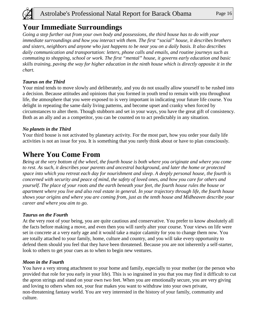

# **Your Immediate Surroundings**

*Going a step further out from your own body and possessions, the third house has to do with your immediate surroundings and how you interact with them. The first "social" house, it describes brothers and sisters, neighbors and anyone who just happens to be near you on a daily basis. It also describes daily communication and transportation: letters, phone calls and emails, and routine journeys such as commuting to shopping, school or work. The first "mental" house, it governs early education and basic skills training, paving the way for higher education in the ninth house which is directly opposite it in the chart.*

### *Taurus on the Third*

Your mind tends to move slowly and deliberately, and you do not usually allow yourself to be rushed into a decision. Because attitudes and opinions that you formed in youth tend to remain with you throughout life, the atmosphere that you were exposed to is very important in indicating your future life course. You delight in repeating the same daily living patterns, and become upset and cranky when forced by circumstances to alter them. Though stubborn and set in your ways, you have the great gift of consistency. Both as an ally and as a competitor, you can be counted on to act predictably in any situation.

### *No planets in the Third*

Your third house is not activated by planetary activity. For the most part, how you order your daily life activities is not an issue for you. It is something that you rarely think about or have to plan consciously.

### **Where You Come From**

*Being at the very bottom of the wheel, the fourth house is both where you originate and where you come to rest. As such, it describes your parents and ancestral background, and later the home or protected space into which you retreat each day for nourishment and sleep. A deeply personal house, the fourth is concerned with security and peace of mind, the safety of loved ones, and how you care for others and yourself. The place of your roots and the earth beneath your feet, the fourth house rules the house or apartment where you live and also real estate in general. In your trajectory through life, the fourth house shows your origins and where you are coming from, just as the tenth house and Midheaven describe your career and where you aim to go.*

### *Taurus on the Fourth*

At the very root of your being, you are quite cautious and conservative. You prefer to know absolutely all the facts before making a move, and even then you will rarely alter your course. Your views on life were set in concrete at a very early age and it would take a major calamity for you to change them now. You are totally attached to your family, home, culture and country, and you will take every opportunity to defend them should you feel that they have been threatened. Because you are not inherently a self-starter, look to others to get your cues as to when to begin new ventures.

### *Moon in the Fourth*

You have a very strong attachment to your home and family, especially to your mother (or the person who provided that role for you early in your life). This is so ingrained in you that you may find it difficult to cut the apron strings and stand on your own two feet. When you are emotionally secure, you are very giving and loving to others when not, your fear makes you want to withdraw into your own private, non-threatening fantasy world. You are very interested in the history of your family, community and culture.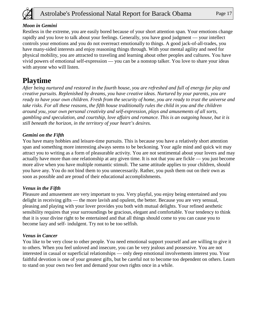

### *Moon in Gemini*

Restless in the extreme, you are easily bored because of your short attention span. Your emotions change rapidly and you love to talk about your feelings. Generally, you have good judgment — your intellect controls your emotions and you do not overreact emotionally to things. A good jack-of-all-trades, you have many-sided interests and enjoy reasoning things through. With your mental agility and need for physical mobility, you are attracted to traveling and learning about other peoples and cultures. You have vivid powers of emotional self-expression — you can be a nonstop talker. You love to share your ideas with anyone who will listen.

# **Playtime**

*After being nurtured and restored in the fourth house, you are refreshed and full of energy for play and creative pursuits. Replenished by dreams, you have creative ideas. Nurtured by your parents, you are ready to have your own children. Fresh from the security of home, you are ready to trust the universe and take risks. For all these reasons, the fifth house traditionally rules the child in you and the children around you, your own personal creativity and self-expression, plays and amusements of all sorts, gambling and speculation, and courtship, love affairs and romance. This is an outgoing house, but it is still beneath the horizon, in the territory of your heart's desires.*

### *Gemini on the Fifth*

You have many hobbies and leisure-time pursuits. This is because you have a relatively short attention span and something more interesting always seems to be beckoning. Your agile mind and quick wit may attract you to writing as a form of pleasurable activity. You are not sentimental about your lovers and may actually have more than one relationship at any given time. It is not that you are fickle — you just become more alive when you have multiple romantic stimuli. The same attitude applies to your children, should you have any. You do not bind them to you unnecessarily. Rather, you push them out on their own as soon as possible and are proud of their educational accomplishments.

### *Venus in the Fifth*

Pleasure and amusement are very important to you. Very playful, you enjoy being entertained and you delight in receiving gifts — the more lavish and opulent, the better. Because you are very sensual, pleasing and playing with your lover provides you both with mutual delights. Your refined aesthetic sensibility requires that your surroundings be gracious, elegant and comfortable. Your tendency to think that it is your divine right to be entertained and that all things should come to you can cause you to become lazy and self- indulgent. Try not to be too selfish.

### *Venus in Cancer*

You like to be very close to other people. You need emotional support yourself and are willing to give it to others. When you feel unloved and insecure, you can be very jealous and possessive. You are not interested in casual or superficial relationships — only deep emotional involvements interest you. Your faithful devotion is one of your greatest gifts, but be careful not to become too dependent on others. Learn to stand on your own two feet and demand your own rights once in a while.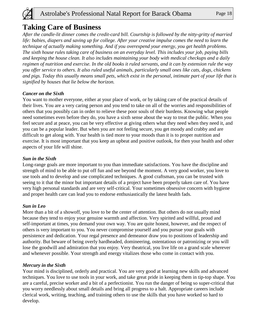

### **Taking Care of Business**

*After the candle-lit dinner comes the credit-card bill. Courtship is followed by the nitty-gritty of married*  life: babies, diapers and saving up for college. After your creative impulse comes the need to learn the *technique of actually making something. And if you overexpend your energy, you get health problems. The sixth house rules taking care of business on an everyday level. This includes your job, paying bills and keeping the house clean. It also includes maintaining your body with medical checkups and a daily regimen of nutrition and exercise. In the old books it ruled servants, and it can by extension rule the way you offer service to others. It also ruled useful animals, particularly small ones like cats, dogs, chickens and pigs. Today this usually means small pets, which exist in the personal, intimate part of your life that is signified by houses that lie below the horizon.*

### *Cancer on the Sixth*

You want to mother everyone, either at your place of work, or by taking care of the practical details of their lives. You are a very caring person and you tend to take on all of the worries and responsibilities of others that you possibly can in order to relieve these poor souls of their burdens. Knowing what people need sometimes even before they do, you have a sixth sense about the way to treat the public. When you feel secure and at peace, you can be very effective at giving others what they need when they need it, and you can be a popular leader. But when you are not feeling secure, you get moody and crabby and are difficult to get along with. Your health is tied more to your moods than it is to proper nutrition and exercise. It is most important that you keep an upbeat and positive outlook, for then your health and other aspects of your life will shine.

### *Sun in the Sixth*

Long-range goals are more important to you than immediate satisfactions. You have the discipline and strength of mind to be able to put off fun and see beyond the moment. A very good worker, you love to use tools and to develop and use complicated techniques. A good craftsman, you can be trusted with seeing to it that the minor but important details of a project have been properly taken care of. You have very high personal standards and are very self-critical. Your sometimes obsessive concern with hygiene and proper health care can lead you to endorse enthusiastically the latest health fads.

### *Sun in Leo*

More than a bit of a showoff, you love to be the center of attention. But others do not usually mind because they tend to enjoy your genuine warmth and affection. Very spirited and willful, proud and self-important at times, you demand your own way. You are quite honest, however, and the respect of others is very important to you. You never compromise yourself and you pursue your goals with persistence and dedication. Your regal presence and demeanor draw you to positions of leadership and authority. But beware of being overly hardheaded, domineering, ostentatious or patronizing or you will lose the goodwill and admiration that you enjoy. Very theatrical, you live life on a grand scale wherever and whenever possible. Your strength and energy vitalizes those who come in contact with you.

### *Mercury in the Sixth*

Your mind is disciplined, orderly and practical. You are very good at learning new skills and advanced techniques. You love to use tools in your work, and take great pride in keeping them in tip-top shape. You are a careful, precise worker and a bit of a perfectionist. You run the danger of being so super-critical that you worry needlessly about small details and bring all progress to a halt. Appropriate careers include clerical work, writing, teaching, and training others to use the skills that you have worked so hard to develop.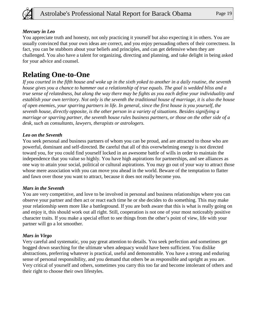

### *Mercury in Leo*

You appreciate truth and honesty, not only practicing it yourself but also expecting it in others. You are usually convinced that your own ideas are correct, and you enjoy persuading others of their correctness. In fact, you can be stubborn about your beliefs and principles, and can get defensive when they are challenged. You also have a talent for organizing, directing and planning, and take delight in being asked for your advice and counsel.

# **Relating One-to-One**

*If you courted in the fifth house and woke up in the sixth yoked to another in a daily routine, the seventh house gives you a chance to hammer out a relationship of true equals. The goal is wedded bliss and a true sense of relatedness, but along the way there may be fights as you each define your individuality and establish your own territory. Not only is the seventh the traditional house of marriage, it is also the house of open enemies, your sparring partners in life. In general, since the first house is you yourself, the seventh house, directly opposite, is the other person in a variety of situations. Besides signifying a marriage or sparring partner, the seventh house rules business partners, or those on the other side of a desk, such as consultants, lawyers, therapists or astrologers.*

### *Leo on the Seventh*

You seek personal and business partners of whom you can be proud, and are attracted to those who are powerful, dominant and self-directed. Be careful that all of this overwhelming energy is not directed toward you, for you could find yourself locked in an awesome battle of wills in order to maintain the independence that you value so highly. You have high aspirations for partnerships, and see alliances as one way to attain your social, political or cultural aspirations. You may go out of your way to attract those whose mere association with you can move you ahead in the world. Beware of the temptation to flatter and fawn over those you want to attract, because it does not really become you.

### *Mars in the Seventh*

You are very competitive, and love to be involved in personal and business relationships where you can observe your partner and then act or react each time he or she decides to do something. This may make your relationship seem more like a battleground. If you are both aware that this is what is really going on and enjoy it, this should work out all right. Still, cooperation is not one of your most noticeably positive character traits. If you make a special effort to see things from the other's point of view, life with your partner will go a lot smoother.

### *Mars in Virgo*

Very careful and systematic, you pay great attention to details. You seek perfection and sometimes get bogged down searching for the ultimate when adequacy would have been sufficient. You dislike abstractions, preferring whatever is practical, useful and demonstrable. You have a strong and enduring sense of personal responsibility, and you demand that others be as responsible and upright as you are. Very critical of yourself and others, sometimes you carry this too far and become intolerant of others and their right to choose their own lifestyles.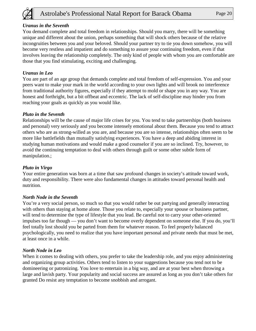

### *Uranus in the Seventh*

You demand complete and total freedom in relationships. Should you marry, there will be something unique and different about the union, perhaps something that will shock others because of the relative incongruities between you and your beloved. Should your partner try to tie you down somehow, you will become very restless and impatient and do something to assure your continuing freedom, even if that involves leaving the relationship completely. The only kind of people with whom you are comfortable are those that you find stimulating, exciting and challenging.

### *Uranus in Leo*

You are part of an age group that demands complete and total freedom of self-expression. You and your peers want to make your mark in the world according to your own lights and will brook no interference from traditional authority figures, especially if they attempt to mold or shape you in any way. You are honest and forthright, but a bit offbeat and eccentric. The lack of self-discipline may hinder you from reaching your goals as quickly as you would like.

### *Pluto in the Seventh*

Relationships will be the cause of major life crises for you. You tend to take partnerships (both business and personal) very seriously and you become intensely emotional about them. Because you tend to attract others who are as strong-willed as you are, and because you are so intense, relationships often seem to be more like battlefields than mutually satisfying experiences. You have a deep and abiding interest in studying human motivations and would make a good counselor if you are so inclined. Try, however, to avoid the continuing temptation to deal with others through guilt or some other subtle form of manipulation.;

#### *Pluto in Virgo*

Your entire generation was born at a time that saw profound changes in society's attitude toward work, duty and responsibility. There were also fundamental changes in attitudes toward personal health and nutrition.

#### *North Node in the Seventh*

You're a very social person, so much so that you would rather be out partying and generally interacting with others than staying at home alone. Those you relate to, especially your spouse or business partner, will tend to determine the type of lifestyle that you lead. Be careful not to carry your other-oriented impulses too far though — you don't want to become overly dependent on someone else. If you do, you'll feel totally lost should you be parted from them for whatever reason. To feel properly balanced psychologically, you need to realize that you have important personal and private needs that must be met, at least once in a while.

#### *North Node in Leo*

When it comes to dealing with others, you prefer to take the leadership role, and you enjoy administering and organizing group activities. Others tend to listen to your suggestions because you tend not to be domineering or patronizing. You love to entertain in a big way, and are at your best when throwing a large and lavish party. Your popularity and social success are assured as long as you don't take others for granted Do resist any temptation to become snobbish and arrogant.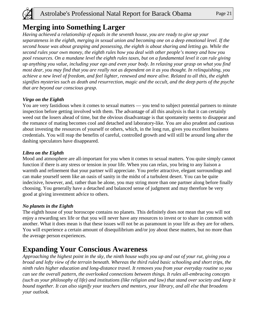

### **Merging into Something Larger**

*Having achieved a relationship of equals in the seventh house, you are ready to give up your separateness in the eighth, merging in sexual union and becoming one on a deep emotional level. If the second house was about grasping and possessing, the eighth is about sharing and letting go. While the second rules your own money, the eighth rules how you deal with other people's money and how you pool resources. On a mundane level the eighth rules taxes, but on a fundamental level it can rule giving up anything you value, including your ego and even your body. In relaxing your grasp on what you find most dear, you may find that you are really not as dependent on it as you thought. In relinquishing, you achieve a new level of freedom, and feel lighter, renewed and more alive. Related to all this, the eighth signifies mysteries such as death and resurrection, magic and the occult, and the deep parts of the psyche that are beyond our conscious grasp.*

### *Virgo on the Eighth*

You are very fastidious when it comes to sexual matters — you tend to subject potential partners to minute inspection before getting involved with them. The advantage of all this analysis is that it can certainly weed out the losers ahead of time, but the obvious disadvantage is that spontaneity seems to disappear and the romance of mating becomes cool and detached and laboratory-like. You are also prudent and cautious about investing the resources of yourself or others, which, in the long run, gives you excellent business credentials. You will reap the benefits of careful, controlled growth and will still be around long after the dashing speculators have disappeared.

### *Libra on the Eighth*

Mood and atmosphere are all-important for you when it comes to sexual matters. You quite simply cannot function if there is any stress or tension in your life. When you can relax, you bring to any liaison a warmth and refinement that your partner will appreciate. You prefer attractive, elegant surroundings and can make yourself seem like an oasis of sanity in the midst of a turbulent desert. You can be quite indecisive, however, and, rather than be alone, you may string more than one partner along before finally choosing. You generally have a detached and balanced sense of judgment and may therefore be very good at giving investment advice to others.

### *No planets in the Eighth*

The eighth house of your horoscope contains no planets. This definitely does not mean that you will not enjoy a rewarding sex life or that you will never have any resources to invest or to share in common with another. What it does mean is that these issues will not be as paramount in your life as they are for others. You will experience a certain amount of disequilibrium and/or joy about these matters, but no more than the average person experiences.

### **Expanding Your Conscious Awareness**

*Approaching the highest point in the sky, the ninth house wafts you up and out of your rut, giving you a broad and lofty view of the terrain beneath. Whereas the third ruled basic schooling and short trips, the ninth rules higher education and long-distance travel. It removes you from your everyday routine so you can see the overall pattern, the overlooked connections between things. It rules all-embracing concepts (such as your philosophy of life) and institutions (like religion and law) that stand over society and keep it bound together. It can also signify your teachers and mentors, your library, and all else that broadens your outlook.*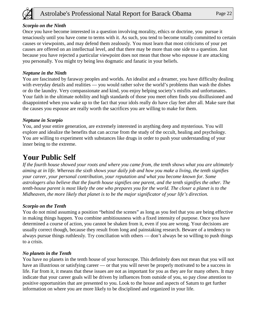

### *Scorpio on the Ninth*

Once you have become interested in a question involving morality, ethics or doctrine, you pursue it tenaciously until you have come to terms with it. As such, you tend to become totally committed to certain causes or viewpoints, and may defend them zealously. You must learn that most criticisms of your pet causes are offered on an intellectual level, and that there may be more than one side to a question. Just because you have rejected a particular viewpoint does not mean that those who espouse it are attacking you personally. You might try being less dogmatic and fanatic in your beliefs.

### *Neptune in the Ninth*

You are fascinated by faraway peoples and worlds. An idealist and a dreamer, you have difficulty dealing with everyday details and realities — you would rather solve the world's problems than wash the dishes or do the laundry. Very compassionate and kind, you enjoy helping society's misfits and unfortunates. Your faith in the ultimate nobility and high standards of those you meet often finds you disillusioned and disappointed when you wake up to the fact that your idols really do have clay feet after all. Make sure that the causes you espouse are really worth the sacrifices you are willing to make for them.

### *Neptune in Scorpio*

You, and your entire generation, are extremely interested in anything deep and mysterious. You will explore and idealize the benefits that can accrue from the study of the occult, healing and psychology. You are willing to experiment with substances like drugs in order to push your understanding of your inner being to the extreme.

### **Your Public Self**

*If the fourth house showed your roots and where you came from, the tenth shows what you are ultimately aiming at in life. Whereas the sixth shows your daily job and how you make a living, the tenth signifies your career, your personal contribution, your reputation and what you become known for. Some astrologers also believe that the fourth house signifies one parent, and the tenth signifies the other. The tenth-house parent is most likely the one who prepares you for the world. The closer a planet is to the Midheaven, the more likely that planet is to be the major significator of your life's direction.* 

#### *Scorpio on the Tenth*

You do not mind assuming a position "behind the scenes" as long as you feel that you are being effective in making things happen. You combine ambitiousness with a fixed intensity of purpose. Once you have determined a course of action, you cannot be shaken from it, even if you are wrong. Your decisions are usually correct though, because they result from long and painstaking research. Beware of a tendency to always pursue things ruthlessly. Try conciliation with others — don't always be so willing to push things to a crisis.

### *No planets in the Tenth*

You have no planets in the tenth house of your horoscope. This definitely does not mean that you will not have an illustrious or satisfying career — or that you will never be properly motivated to be a success in life. Far from it, it means that these issues are not as important for you as they are for many others. It may indicate that your career goals will be driven by influences from outside of you, so pay close attention to positive opportunities that are presented to you. Look to the house and aspects of Saturn to get further information on where you are more likely to be disciplined and organized in your life.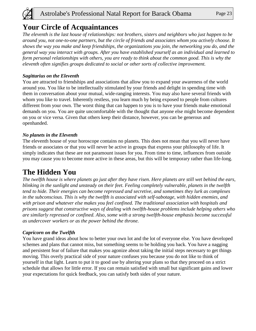

### **Your Circle of Acquaintances**

*The eleventh is the last house of relationships: not brothers, sisters and neighbors who just happen to be around you, not one-to-one partners, but the circle of friends and associates whom you actively choose. It shows the way you make and keep friendships, the organizations you join, the networking you do, and the general way you interact with groups. After you have established yourself as an individual and learned to form personal relationships with others, you are ready to think about the common good. This is why the eleventh often signifies groups dedicated to social or other sorts of collective improvement.*

### *Sagittarius on the Eleventh*

You are attracted to friendships and associations that allow you to expand your awareness of the world around you. You like to be intellectually stimulated by your friends and delight in spending time with them in conversation about your mutual, wide-ranging interests. You may also have several friends with whom you like to travel. Inherently restless, you learn much by being exposed to people from cultures different from your own. The worst thing that can happen to you is to have your friends make emotional demands on you. You are quite uncomfortable with the thought that anyone else might become dependent on you or vice versa. Given that others keep their distance, however, you can be generous and openhanded.

### *No planets in the Eleventh*

The eleventh house of your horoscope contains no planets. This does not mean that you will never have friends or associates or that you will never be active in groups that express your philosophy of life. It simply indicates that these are not paramount issues for you. From time to time, influences from outside you may cause you to become more active in these areas, but this will be temporary rather than life-long.

# **The Hidden You**

*The twelfth house is where planets go just after they have risen. Here planets are still wet behind the ears, blinking in the sunlight and unsteady on their feet. Feeling completely vulnerable, planets in the twelfth tend to hide. Their energies can become repressed and secretive, and sometimes they lurk as complexes in the subconscious. This is why the twelfth is associated with self-sabotage, with hidden enemies, and with prison and whatever else makes you feel confined. The traditional association with hospitals and prisons suggest that constructive ways of dealing with twelfth-house problems include helping others who are similarly repressed or confined. Also, some with a strong twelfth-house emphasis become successful as undercover workers or as the power behind the throne.*

### *Capricorn on the Twelfth*

You have grand ideas about how to better your own lot and the lot of everyone else. You have developed schemes and plans that cannot miss, but something seems to be holding you back. You have a nagging and persistent fear of failure that makes you agonize about taking the initial steps necessary to get things moving. This overly practical side of your nature confuses you because you do not like to think of yourself in that light. Learn to put it to good use by altering your plans so that they proceed on a strict schedule that allows for little error. If you can remain satisfied with small but significant gains and lower your expectations for quick feedback, you can satisfy both sides of your nature.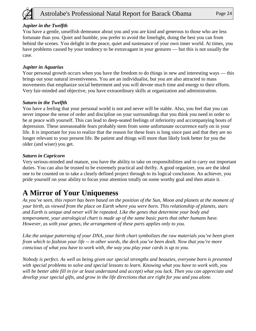

### *Jupiter in the Twelfth*

You have a gentle, unselfish demeanor about you and you are kind and generous to those who are less fortunate than you. Quiet and humble, you prefer to avoid the limelight, doing the best you can from behind the scenes. You delight in the peace, quiet and sustenance of your own inner world. At times, you have problems caused by your tendency to be extravagant in your gestures — but this is not usually the case.

### *Jupiter in Aquarius*

Your personal growth occurs when you have the freedom to do things in new and interesting ways — this brings out your natural inventiveness. You are an individualist, but you are also attracted to mass movements that emphasize social betterment and you will devote much time and energy to their efforts. Very fair-minded and objective, you have extraordinary skills at organization and administration.

### *Saturn in the Twelfth*

You have a feeling that your personal world is not and never will be stable. Also, you feel that you can never impose the sense of order and discipline on your surroundings that you think you need in order to be at peace with yourself. This can lead to deep-seated feelings of inferiority and accompanying bouts of depression. These unreasonable fears probably stem from some unfortunate occurrence early on in your life. It is important for you to realize that the reason for these fears is long since past and that they are no longer relevant to your present life. Be patient and things will more than likely look better for you the older (and wiser) you get.

### *Saturn in Capricorn*

Very serious-minded and mature, you have the ability to take on responsibilities and to carry out important duties. You can also be trusted to be extremely practical and thrifty. A good organizer, you are the ideal one to be counted on to take a clearly defined project through to its logical conclusion. An achiever, you pride yourself on your ability to focus your attention totally on some worthy goal and then attain it.

# **A Mirror of Your Uniqueness**

*As you've seen, this report has been based on the position of the Sun, Moon and planets at the moment of your birth, as viewed from the place on Earth where you were born. This relationship of planets, stars and Earth is unique and never will be repeated. Like the genes that determine your body and temperament, your astrological chart is made up of the same basic parts that other humans have. However, as with your genes, the arrangement of these parts applies only to you.* 

*Like the unique patterning of your DNA, your birth chart symbolizes the raw materials you've been given from which to fashion your life -- in other words, the deck you've been dealt. Now that you're more conscious of what you have to work with, the way you play your cards is up to you.* 

*Nobody is perfect. As well as being given our special strengths and beauties, everyone born is presented with special problems to solve and special lessons to learn. Knowing what you have to work with, you will be better able fill in (or at least understand and accept) what you lack. Then you can appreciate and develop your special gifts, and grow in the life directions that are right for you and you alone.*